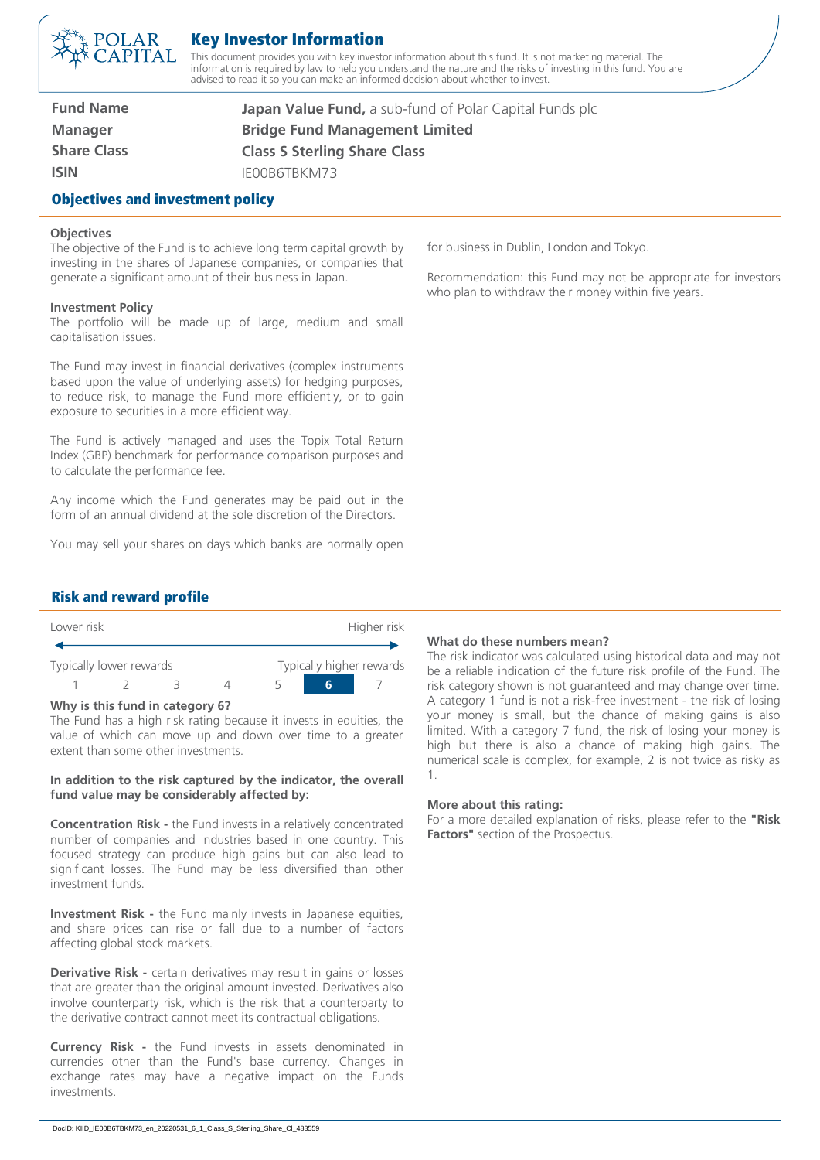

## Key Investor Information

This document provides you with key investor information about this fund. It is not marketing material. The information is required by law to help you understand the nature and the risks of investing in this fund. You are advised to read it so you can make an informed decision about whether to invest.

**Fund Name Manager Share Class ISIN**

**Japan Value Fund,** a sub-fund of Polar Capital Funds plc **Bridge Fund Management Limited Class S Sterling Share Class**

IE00B6TBKM73

## Objectives and investment policy

#### **Objectives**

The objective of the Fund is to achieve long term capital growth by investing in the shares of Japanese companies, or companies that generate a significant amount of their business in Japan.

#### **Investment Policy**

The portfolio will be made up of large, medium and small capitalisation issues.

The Fund may invest in financial derivatives (complex instruments based upon the value of underlying assets) for hedging purposes, to reduce risk, to manage the Fund more efficiently, or to gain exposure to securities in a more efficient way.

The Fund is actively managed and uses the Topix Total Return Index (GBP) benchmark for performance comparison purposes and to calculate the performance fee.

Any income which the Fund generates may be paid out in the form of an annual dividend at the sole discretion of the Directors.

You may sell your shares on days which banks are normally open

for business in Dublin, London and Tokyo.

Recommendation: this Fund may not be appropriate for investors who plan to withdraw their money within five years.

## Risk and reward profile

| Lower risk |                         |  | Higher risk |  |  |                          |
|------------|-------------------------|--|-------------|--|--|--------------------------|
|            | Typically lower rewards |  |             |  |  | Typically higher rewards |
|            |                         |  |             |  |  |                          |

#### **Why is this fund in category 6?**

The Fund has a high risk rating because it invests in equities, the value of which can move up and down over time to a greater extent than some other investments.

#### **In addition to the risk captured by the indicator, the overall fund value may be considerably affected by:**

**Concentration Risk -** the Fund invests in a relatively concentrated number of companies and industries based in one country. This focused strategy can produce high gains but can also lead to significant losses. The Fund may be less diversified than other investment funds.

**Investment Risk -** the Fund mainly invests in Japanese equities, and share prices can rise or fall due to a number of factors affecting global stock markets.

**Derivative Risk -** certain derivatives may result in gains or losses that are greater than the original amount invested. Derivatives also involve counterparty risk, which is the risk that a counterparty to the derivative contract cannot meet its contractual obligations.

**Currency Risk -** the Fund invests in assets denominated in currencies other than the Fund's base currency. Changes in exchange rates may have a negative impact on the Funds investments.

#### **What do these numbers mean?**

The risk indicator was calculated using historical data and may not be a reliable indication of the future risk profile of the Fund. The risk category shown is not guaranteed and may change over time. A category 1 fund is not a risk-free investment - the risk of losing your money is small, but the chance of making gains is also limited. With a category 7 fund, the risk of losing your money is high but there is also a chance of making high gains. The numerical scale is complex, for example, 2 is not twice as risky as 1.

#### **More about this rating:**

For a more detailed explanation of risks, please refer to the **"Risk Factors"** section of the Prospectus.